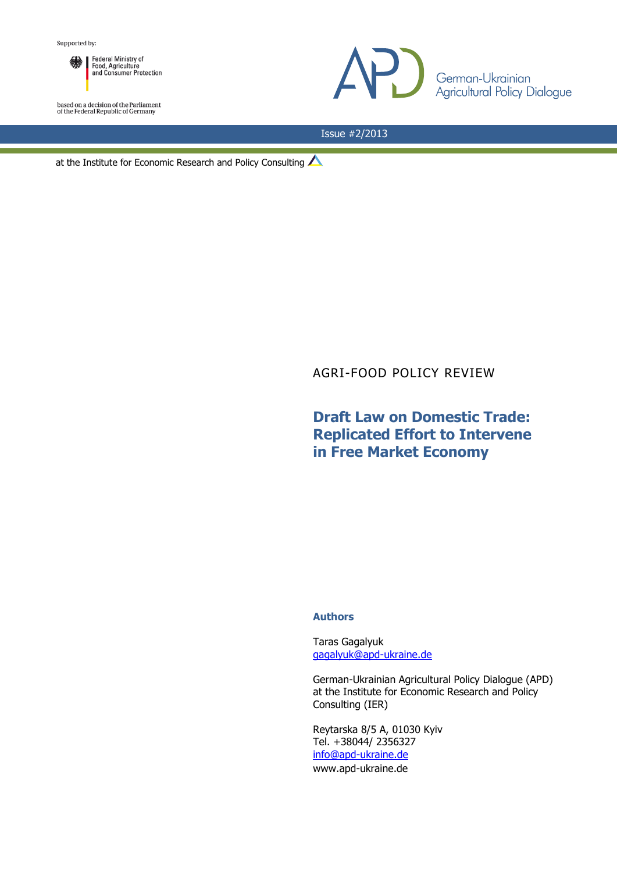

based on a decision of the Parliament<br>of the Federal Republic of Germany



Issue #2/2013

at the Institute for Economic Research and Policy Consulting  $\triangle$ 

## AGRI-FOOD POLICY REVIEW

## **Draft Law on Domestic Trade: Replicated Effort to Intervene in Free Market Economy**

## **Authors**

Taras Gagalyuk [gagalyuk@apd-ukraine.de](mailto:gagalyuk@apd-ukraine.de)

German-Ukrainian Agricultural Policy Dialogue (APD) at the Institute for Economic Research and Policy Consulting (IER)

Reytarska 8/5 A, 01030 Kyiv Tel. +38044/ 2356327 [info@apd-ukraine.de](mailto:info@apd-ukraine.de) www.apd-ukraine.de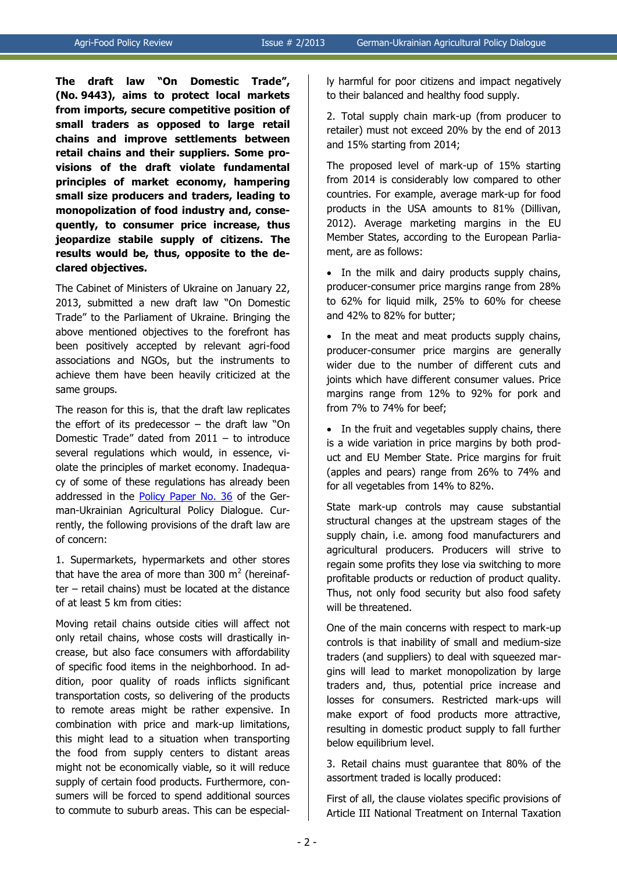**The draft law "On Domestic Trade", (No. 9443), aims to protect local markets from imports, secure competitive position of small traders as opposed to large retail chains and improve settlements between retail chains and their suppliers. Some provisions of the draft violate fundamental principles of market economy, hampering small size producers and traders, leading to monopolization of food industry and, consequently, to consumer price increase, thus jeopardize stabile supply of citizens. The results would be, thus, opposite to the declared objectives.**

The Cabinet of Ministers of Ukraine on January 22, 2013, submitted a new draft law "On Domestic Trade" to the Parliament of Ukraine. Bringing the above mentioned objectives to the forefront has been positively accepted by relevant agri-food associations and NGOs, but the instruments to achieve them have been heavily criticized at the same groups.

The reason for this is, that the draft law replicates the effort of its predecessor  $-$  the draft law "On Domestic Trade" dated from 2011 – to introduce several regulations which would, in essence, violate the principles of market economy. Inadequacy of some of these regulations has already been addressed in the [Policy Paper No. 36](http://www.ier.com.ua/ua/publications/consultancy_work/archive_2011/?pid=3046) of the German-Ukrainian Agricultural Policy Dialogue. Currently, the following provisions of the draft law are of concern:

1. Supermarkets, hypermarkets and other stores that have the area of more than 300 m<sup>2</sup> (hereinafter – retail chains) must be located at the distance of at least 5 km from cities:

Moving retail chains outside cities will affect not only retail chains, whose costs will drastically increase, but also face consumers with affordability of specific food items in the neighborhood. In addition, poor quality of roads inflicts significant transportation costs, so delivering of the products to remote areas might be rather expensive. In combination with price and mark-up limitations, this might lead to a situation when transporting the food from supply centers to distant areas might not be economically viable, so it will reduce supply of certain food products. Furthermore, consumers will be forced to spend additional sources to commute to suburb areas. This can be especially harmful for poor citizens and impact negatively to their balanced and healthy food supply.

2. Total supply chain mark-up (from producer to retailer) must not exceed 20% by the end of 2013 and 15% starting from 2014;

The proposed level of mark-up of 15% starting from 2014 is considerably low compared to other countries. For example, average mark-up for food products in the USA amounts to 81% (Dillivan, 2012). Average marketing margins in the EU Member States, according to the European Parliament, are as follows:

• In the milk and dairy products supply chains, producer-consumer price margins range from 28% to 62% for liquid milk, 25% to 60% for cheese and 42% to 82% for butter;

• In the meat and meat products supply chains, producer-consumer price margins are generally wider due to the number of different cuts and joints which have different consumer values. Price margins range from 12% to 92% for pork and from 7% to 74% for beef;

• In the fruit and vegetables supply chains, there is a wide variation in price margins by both product and EU Member State. Price margins for fruit (apples and pears) range from 26% to 74% and for all vegetables from 14% to 82%.

State mark-up controls may cause substantial structural changes at the upstream stages of the supply chain, i.e. among food manufacturers and agricultural producers. Producers will strive to regain some profits they lose via switching to more profitable products or reduction of product quality. Thus, not only food security but also food safety will be threatened.

One of the main concerns with respect to mark-up controls is that inability of small and medium-size traders (and suppliers) to deal with squeezed margins will lead to market monopolization by large traders and, thus, potential price increase and losses for consumers. Restricted mark-ups will make export of food products more attractive, resulting in domestic product supply to fall further below equilibrium level.

3. Retail chains must guarantee that 80% of the assortment traded is locally produced:

First of all, the clause violates specific provisions of Article III National Treatment on Internal Taxation